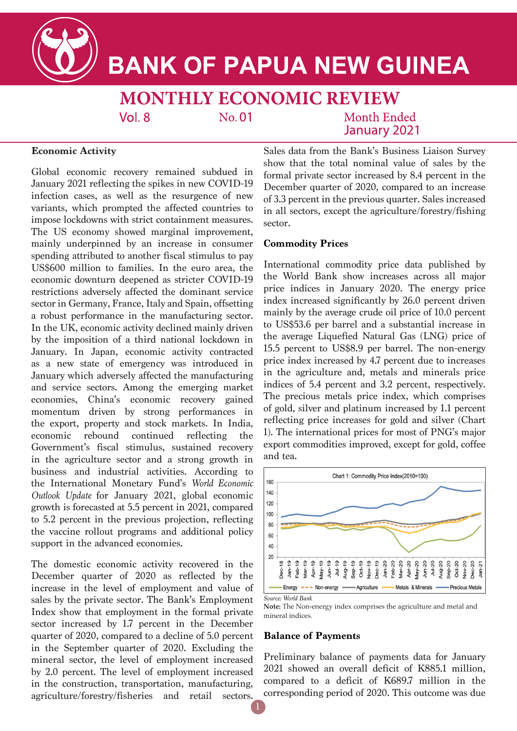

**BANK OF PAPUA NEW GUINEA** 

**MONTHLY ECONOMIC REVIEW**  $Vol.8$ No.01 Month Ended

January 2021

# **Economic Activity**

Global economic recovery remained subdued in January 2021 reflecting the spikes in new COVID-19 infection cases, as well as the resurgence of new variants, which prompted the affected countries to impose lockdowns with strict containment measures. The US economy showed marginal improvement, mainly underpinned by an increase in consumer spending attributed to another fiscal stimulus to pay US\$600 million to families. In the euro area, the economic downturn deepened as stricter COVID-19 restrictions adversely affected the dominant service sector in Germany, France, Italy and Spain, offsetting a robust performance in the manufacturing sector. In the UK, economic activity declined mainly driven by the imposition of a third national lockdown in January. In Japan, economic activity contracted as a new state of emergency was introduced in January which adversely affected the manufacturing and service sectors. Among the emerging market economies, China's economic recovery gained momentum driven by strong performances in the export, property and stock markets. In India, economic rebound continued reflecting the Government's fiscal stimulus, sustained recovery in the agriculture sector and a strong growth in business and industrial activities. According to the International Monetary Fund's *World Economic Outlook Update* for January 2021, global economic growth is forecasted at 5.5 percent in 2021, compared to 5.2 percent in the previous projection, reflecting the vaccine rollout programs and additional policy support in the advanced economies.

The domestic economic activity recovered in the December quarter of 2020 as reflected by the increase in the level of employment and value of sales by the private sector. The Bank's Employment Index show that employment in the formal private sector increased by 1.7 percent in the December quarter of 2020, compared to a decline of 5.0 percent in the September quarter of 2020. Excluding the mineral sector, the level of employment increased by 2.0 percent. The level of employment increased in the construction, transportation, manufacturing, agriculture/forestry/fisheries and retail sectors.

Sales data from the Bank's Business Liaison Survey show that the total nominal value of sales by the formal private sector increased by 8.4 percent in the December quarter of 2020, compared to an increase of 3.3 percent in the previous quarter. Sales increased in all sectors, except the agriculture/forestry/fishing sector.

# **Commodity Prices**

International commodity price data published by the World Bank show increases across all major price indices in January 2020. The energy price index increased significantly by 26.0 percent driven mainly by the average crude oil price of 10.0 percent to US\$53.6 per barrel and a substantial increase in the average Liquefied Natural Gas (LNG) price of 15.5 percent to US\$8.9 per barrel. The non-energy price index increased by 4.7 percent due to increases in the agriculture and, metals and minerals price indices of 5.4 percent and 3.2 percent, respectively. The precious metals price index, which comprises of gold, silver and platinum increased by 1.1 percent reflecting price increases for gold and silver (Chart 1). The international prices for most of PNG's major export commodities improved, except for gold, coffee and tea.



**Note:** The Non-energy index comprises the agriculture and metal and mineral indices.

# **Balance of Payments**

Preliminary balance of payments data for January 2021 showed an overall deficit of K885.1 million, compared to a deficit of K689.7 million in the corresponding period of 2020. This outcome was due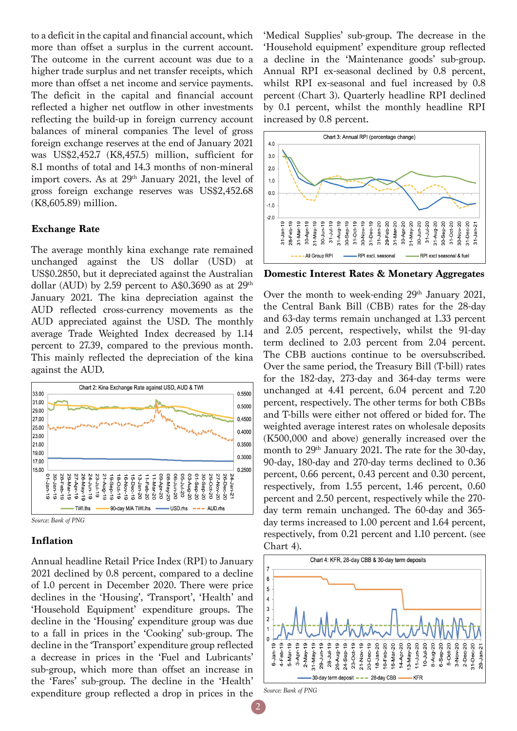to a deficit in the capital and financial account, which more than offset a surplus in the current account. The outcome in the current account was due to a higher trade surplus and net transfer receipts, which more than offset a net income and service payments. The deficit in the capital and financial account reflected a higher net outflow in other investments reflecting the build-up in foreign currency account balances of mineral companies The level of gross foreign exchange reserves at the end of January 2021 was US\$2,452.7 (K8,457.5) million, sufficient for 8.1 months of total and 14.3 months of non-mineral import covers. As at 29<sup>th</sup> January 2021, the level of gross foreign exchange reserves was US\$2,452.68 (K8,605.89) million.

## **Exchange Rate**

The average monthly kina exchange rate remained unchanged against the US dollar (USD) at US\$0.2850, but it depreciated against the Australian dollar (AUD) by 2.59 percent to A\$0.3690 as at  $29<sup>th</sup>$ January 2021. The kina depreciation against the AUD reflected cross-currency movements as the AUD appreciated against the USD. The monthly average Trade Weighted Index decreased by 1.14 percent to 27.39, compared to the previous month. This mainly reflected the depreciation of the kina against the AUD.



*Source: Bank of PNG*

# **Inflation**

Annual headline Retail Price Index (RPI) to January 2021 declined by 0.8 percent, compared to a decline of 1.0 percent in December 2020. There were price declines in the 'Housing', 'Transport', 'Health' and 'Household Equipment' expenditure groups. The decline in the 'Housing' expenditure group was due to a fall in prices in the 'Cooking' sub-group. The decline in the 'Transport' expenditure group reflected a decrease in prices in the 'Fuel and Lubricants' sub-group, which more than offset an increase in the 'Fares' sub-group. The decline in the 'Health' expenditure group reflected a drop in prices in the

'Medical Supplies' sub-group. The decrease in the 'Household equipment' expenditure group reflected a decline in the 'Maintenance goods' sub-group. Annual RPI ex-seasonal declined by 0.8 percent, whilst RPI ex-seasonal and fuel increased by 0.8 percent (Chart 3). Quarterly headline RPI declined by 0.1 percent, whilst the monthly headline RPI increased by 0.8 percent.



**Domestic Interest Rates & Monetary Aggregates**

Over the month to week-ending 29<sup>th</sup> January 2021, the Central Bank Bill (CBB) rates for the 28-day and 63-day terms remain unchanged at 1.33 percent and 2.05 percent, respectively, whilst the 91-day term declined to 2.03 percent from 2.04 percent. The CBB auctions continue to be oversubscribed. Over the same period, the Treasury Bill (T-bill) rates for the 182-day, 273-day and 364-day terms were unchanged at 4.41 percent, 6.04 percent and 7.20 percent, respectively. The other terms for both CBBs and T-bills were either not offered or bided for. The weighted average interest rates on wholesale deposits (K500,000 and above) generally increased over the month to 29<sup>th</sup> January 2021. The rate for the 30-day, 90-day, 180-day and 270-day terms declined to 0.36 percent, 0.66 percent, 0.43 percent and 0.30 percent, respectively, from 1.55 percent, 1.46 percent, 0.60 percent and 2.50 percent, respectively while the 270 day term remain unchanged. The 60-day and 365 day terms increased to 1.00 percent and 1.64 percent, respectively, from 0.21 percent and 1.10 percent. (see Chart 4).



*Source: Bank of PNG*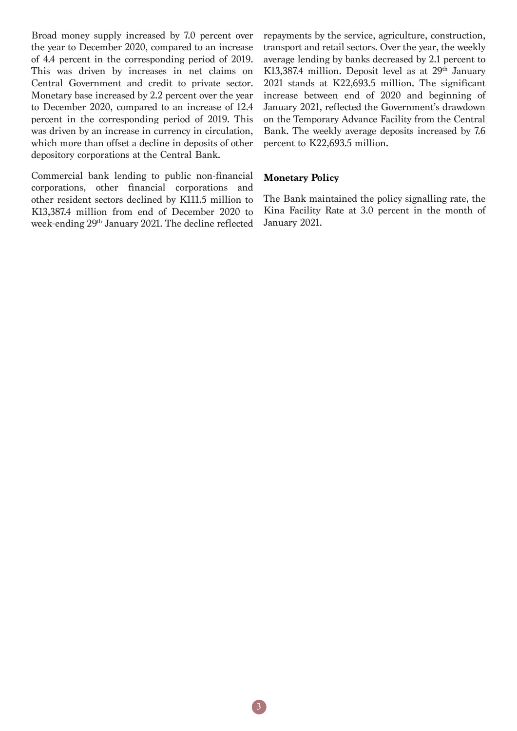Broad money supply increased by 7.0 percent over the year to December 2020, compared to an increase of 4.4 percent in the corresponding period of 2019. This was driven by increases in net claims on Central Government and credit to private sector. Monetary base increased by 2.2 percent over the year to December 2020, compared to an increase of 12.4 percent in the corresponding period of 2019. This was driven by an increase in currency in circulation, which more than offset a decline in deposits of other depository corporations at the Central Bank.

Commercial bank lending to public non-financial corporations, other financial corporations and other resident sectors declined by K111.5 million to K13,387.4 million from end of December 2020 to week-ending 29th January 2021. The decline reflected

repayments by the service, agriculture, construction, transport and retail sectors. Over the year, the weekly average lending by banks decreased by 2.1 percent to K13,387.4 million. Deposit level as at  $29<sup>th</sup>$  January 2021 stands at K22,693.5 million. The significant increase between end of 2020 and beginning of January 2021, reflected the Government's drawdown on the Temporary Advance Facility from the Central Bank. The weekly average deposits increased by 7.6 percent to K22,693.5 million.

# **Monetary Policy**

The Bank maintained the policy signalling rate, the Kina Facility Rate at 3.0 percent in the month of January 2021.